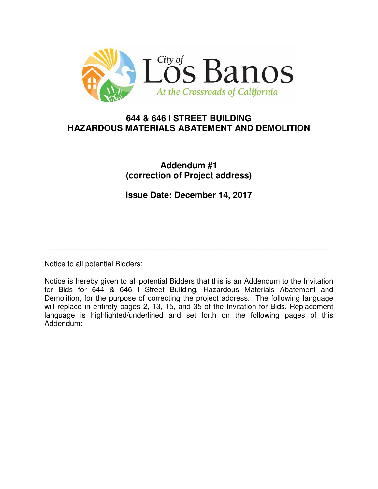

# **644 & 646 I STREET BUILDING HAZARDOUS MATERIALS ABATEMENT AND DEMOLITION**

# **Addendum #1 (correction of Project address)**

**Issue Date: December 14, 2017** 

**\_\_\_\_\_\_\_\_\_\_\_\_\_\_\_\_\_\_\_\_\_\_\_\_\_\_\_\_\_\_\_\_\_\_\_\_\_\_\_\_\_\_\_\_\_\_\_\_\_\_\_\_\_\_\_\_\_\_** 

Notice to all potential Bidders:

Notice is hereby given to all potential Bidders that this is an Addendum to the Invitation for Bids for 644 & 646 I Street Building, Hazardous Materials Abatement and Demolition, for the purpose of correcting the project address. The following language will replace in entirety pages 2, 13, 15, and 35 of the Invitation for Bids. Replacement language is highlighted/underlined and set forth on the following pages of this Addendum: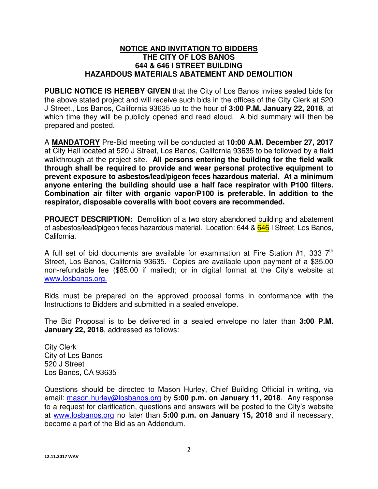#### **NOTICE AND INVITATION TO BIDDERS THE CITY OF LOS BANOS 644 & 646 I STREET BUILDING HAZARDOUS MATERIALS ABATEMENT AND DEMOLITION**

**PUBLIC NOTICE IS HEREBY GIVEN** that the City of Los Banos invites sealed bids for the above stated project and will receive such bids in the offices of the City Clerk at 520 J Street., Los Banos, California 93635 up to the hour of **3:00 P.M. January 22, 2018**, at which time they will be publicly opened and read aloud. A bid summary will then be prepared and posted.

A **MANDATORY** Pre-Bid meeting will be conducted at **10:00 A.M. December 27, 2017**  at City Hall located at 520 J Street, Los Banos, California 93635 to be followed by a field walkthrough at the project site. **All persons entering the building for the field walk through shall be required to provide and wear personal protective equipment to prevent exposure to asbestos/lead/pigeon feces hazardous material. At a minimum anyone entering the building should use a half face respirator with P100 filters. Combination air filter with organic vapor/P100 is preferable. In addition to the respirator, disposable coveralls with boot covers are recommended.** 

**PROJECT DESCRIPTION:** Demolition of a two story abandoned building and abatement of asbestos/lead/pigeon feces hazardous material. Location: 644 & 646 I Street, Los Banos, California.

A full set of bid documents are available for examination at Fire Station #1, 333  $7<sup>th</sup>$ Street, Los Banos, California 93635. Copies are available upon payment of a \$35.00 non-refundable fee (\$85.00 if mailed); or in digital format at the City's website at www.losbanos.org.

Bids must be prepared on the approved proposal forms in conformance with the Instructions to Bidders and submitted in a sealed envelope.

The Bid Proposal is to be delivered in a sealed envelope no later than **3:00 P.M. January 22, 2018**, addressed as follows:

City Clerk City of Los Banos 520 J Street Los Banos, CA 93635

Questions should be directed to Mason Hurley, Chief Building Official in writing, via email: mason.hurley@losbanos.org by **5:00 p.m. on January 11, 2018**. Any response to a request for clarification, questions and answers will be posted to the City's website at www.losbanos.org no later than **5:00 p.m. on January 15, 2018** and if necessary, become a part of the Bid as an Addendum.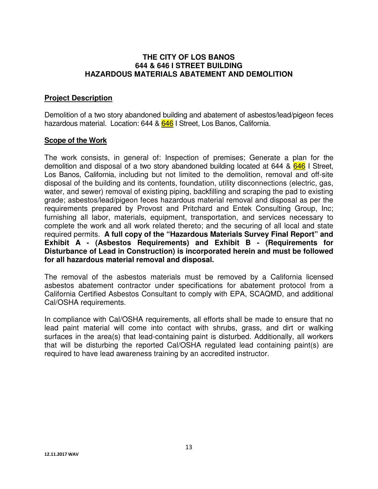### **THE CITY OF LOS BANOS 644 & 646 I STREET BUILDING HAZARDOUS MATERIALS ABATEMENT AND DEMOLITION**

### **Project Description**

Demolition of a two story abandoned building and abatement of asbestos/lead/pigeon feces hazardous material. Location: 644 & 646 I Street, Los Banos, California.

### **Scope of the Work**

The work consists, in general of: Inspection of premises; Generate a plan for the demolition and disposal of a two story abandoned building located at 644 &  $646$  I Street, Los Banos, California, including but not limited to the demolition, removal and off-site disposal of the building and its contents, foundation, utility disconnections (electric, gas, water, and sewer) removal of existing piping, backfilling and scraping the pad to existing grade; asbestos/lead/pigeon feces hazardous material removal and disposal as per the requirements prepared by Provost and Pritchard and Entek Consulting Group, Inc; furnishing all labor, materials, equipment, transportation, and services necessary to complete the work and all work related thereto; and the securing of all local and state required permits. **A full copy of the "Hazardous Materials Survey Final Report" and Exhibit A - (Asbestos Requirements) and Exhibit B - (Requirements for Disturbance of Lead in Construction) is incorporated herein and must be followed for all hazardous material removal and disposal.**

The removal of the asbestos materials must be removed by a California licensed asbestos abatement contractor under specifications for abatement protocol from a California Certified Asbestos Consultant to comply with EPA, SCAQMD, and additional Cal/OSHA requirements.

In compliance with Cal/OSHA requirements, all efforts shall be made to ensure that no lead paint material will come into contact with shrubs, grass, and dirt or walking surfaces in the area(s) that lead-containing paint is disturbed. Additionally, all workers that will be disturbing the reported Cal/OSHA regulated lead containing paint(s) are required to have lead awareness training by an accredited instructor.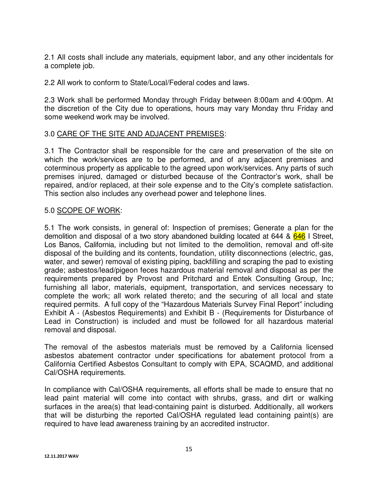2.1 All costs shall include any materials, equipment labor, and any other incidentals for a complete job.

2.2 All work to conform to State/Local/Federal codes and laws.

2.3 Work shall be performed Monday through Friday between 8:00am and 4:00pm. At the discretion of the City due to operations, hours may vary Monday thru Friday and some weekend work may be involved.

### 3.0 CARE OF THE SITE AND ADJACENT PREMISES:

3.1 The Contractor shall be responsible for the care and preservation of the site on which the work/services are to be performed, and of any adjacent premises and coterminous property as applicable to the agreed upon work/services. Any parts of such premises injured, damaged or disturbed because of the Contractor's work, shall be repaired, and/or replaced, at their sole expense and to the City's complete satisfaction. This section also includes any overhead power and telephone lines.

### 5.0 SCOPE OF WORK:

5.1 The work consists, in general of: Inspection of premises; Generate a plan for the demolition and disposal of a two story abandoned building located at 644 & 646 I Street, Los Banos, California, including but not limited to the demolition, removal and off-site disposal of the building and its contents, foundation, utility disconnections (electric, gas, water, and sewer) removal of existing piping, backfilling and scraping the pad to existing grade; asbestos/lead/pigeon feces hazardous material removal and disposal as per the requirements prepared by Provost and Pritchard and Entek Consulting Group, Inc; furnishing all labor, materials, equipment, transportation, and services necessary to complete the work; all work related thereto; and the securing of all local and state required permits. A full copy of the "Hazardous Materials Survey Final Report" including Exhibit A - (Asbestos Requirements) and Exhibit B - (Requirements for Disturbance of Lead in Construction) is included and must be followed for all hazardous material removal and disposal.

The removal of the asbestos materials must be removed by a California licensed asbestos abatement contractor under specifications for abatement protocol from a California Certified Asbestos Consultant to comply with EPA, SCAQMD, and additional Cal/OSHA requirements.

In compliance with Cal/OSHA requirements, all efforts shall be made to ensure that no lead paint material will come into contact with shrubs, grass, and dirt or walking surfaces in the area(s) that lead-containing paint is disturbed. Additionally, all workers that will be disturbing the reported Cal/OSHA regulated lead containing paint(s) are required to have lead awareness training by an accredited instructor.